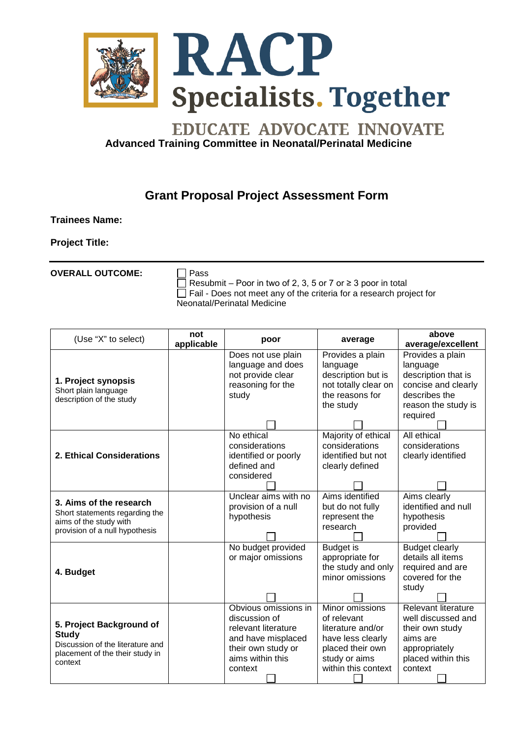

## **EDUCATE ADVOCATE INNOVATE**

**Advanced Training Committee in Neonatal/Perinatal Medicine**

## **Grant Proposal Project Assessment Form**

**Trainees Name:** 

**Project Title:**

**OVERALL OUTCOME:** □ Pass

Resubmit – Poor in two of 2, 3, 5 or 7 or  $\geq$  3 poor in total  $\Box$  Fail - Does not meet any of the criteria for a research project for Neonatal/Perinatal Medicine

| not        |  | average                                                                                                                                                                                                                                                                                                                                                                                                                                     | above                                                                                                                                                                                                                                                                                                                                                                                                                                                                        |
|------------|--|---------------------------------------------------------------------------------------------------------------------------------------------------------------------------------------------------------------------------------------------------------------------------------------------------------------------------------------------------------------------------------------------------------------------------------------------|------------------------------------------------------------------------------------------------------------------------------------------------------------------------------------------------------------------------------------------------------------------------------------------------------------------------------------------------------------------------------------------------------------------------------------------------------------------------------|
| applicable |  |                                                                                                                                                                                                                                                                                                                                                                                                                                             | average/excellent                                                                                                                                                                                                                                                                                                                                                                                                                                                            |
|            |  |                                                                                                                                                                                                                                                                                                                                                                                                                                             | Provides a plain                                                                                                                                                                                                                                                                                                                                                                                                                                                             |
|            |  |                                                                                                                                                                                                                                                                                                                                                                                                                                             | language                                                                                                                                                                                                                                                                                                                                                                                                                                                                     |
|            |  |                                                                                                                                                                                                                                                                                                                                                                                                                                             | description that is                                                                                                                                                                                                                                                                                                                                                                                                                                                          |
|            |  |                                                                                                                                                                                                                                                                                                                                                                                                                                             | concise and clearly                                                                                                                                                                                                                                                                                                                                                                                                                                                          |
|            |  | the reasons for                                                                                                                                                                                                                                                                                                                                                                                                                             | describes the                                                                                                                                                                                                                                                                                                                                                                                                                                                                |
|            |  |                                                                                                                                                                                                                                                                                                                                                                                                                                             | reason the study is                                                                                                                                                                                                                                                                                                                                                                                                                                                          |
|            |  |                                                                                                                                                                                                                                                                                                                                                                                                                                             | required                                                                                                                                                                                                                                                                                                                                                                                                                                                                     |
|            |  |                                                                                                                                                                                                                                                                                                                                                                                                                                             |                                                                                                                                                                                                                                                                                                                                                                                                                                                                              |
|            |  |                                                                                                                                                                                                                                                                                                                                                                                                                                             | All ethical                                                                                                                                                                                                                                                                                                                                                                                                                                                                  |
|            |  |                                                                                                                                                                                                                                                                                                                                                                                                                                             | considerations                                                                                                                                                                                                                                                                                                                                                                                                                                                               |
|            |  |                                                                                                                                                                                                                                                                                                                                                                                                                                             | clearly identified                                                                                                                                                                                                                                                                                                                                                                                                                                                           |
|            |  |                                                                                                                                                                                                                                                                                                                                                                                                                                             |                                                                                                                                                                                                                                                                                                                                                                                                                                                                              |
|            |  |                                                                                                                                                                                                                                                                                                                                                                                                                                             |                                                                                                                                                                                                                                                                                                                                                                                                                                                                              |
|            |  |                                                                                                                                                                                                                                                                                                                                                                                                                                             |                                                                                                                                                                                                                                                                                                                                                                                                                                                                              |
|            |  |                                                                                                                                                                                                                                                                                                                                                                                                                                             | Aims clearly                                                                                                                                                                                                                                                                                                                                                                                                                                                                 |
|            |  |                                                                                                                                                                                                                                                                                                                                                                                                                                             | identified and null                                                                                                                                                                                                                                                                                                                                                                                                                                                          |
|            |  |                                                                                                                                                                                                                                                                                                                                                                                                                                             | hypothesis                                                                                                                                                                                                                                                                                                                                                                                                                                                                   |
|            |  |                                                                                                                                                                                                                                                                                                                                                                                                                                             | provided                                                                                                                                                                                                                                                                                                                                                                                                                                                                     |
|            |  |                                                                                                                                                                                                                                                                                                                                                                                                                                             |                                                                                                                                                                                                                                                                                                                                                                                                                                                                              |
|            |  |                                                                                                                                                                                                                                                                                                                                                                                                                                             | <b>Budget clearly</b>                                                                                                                                                                                                                                                                                                                                                                                                                                                        |
|            |  |                                                                                                                                                                                                                                                                                                                                                                                                                                             | details all items                                                                                                                                                                                                                                                                                                                                                                                                                                                            |
|            |  |                                                                                                                                                                                                                                                                                                                                                                                                                                             | required and are                                                                                                                                                                                                                                                                                                                                                                                                                                                             |
|            |  |                                                                                                                                                                                                                                                                                                                                                                                                                                             | covered for the                                                                                                                                                                                                                                                                                                                                                                                                                                                              |
|            |  |                                                                                                                                                                                                                                                                                                                                                                                                                                             | study                                                                                                                                                                                                                                                                                                                                                                                                                                                                        |
|            |  |                                                                                                                                                                                                                                                                                                                                                                                                                                             | <b>Relevant literature</b>                                                                                                                                                                                                                                                                                                                                                                                                                                                   |
|            |  |                                                                                                                                                                                                                                                                                                                                                                                                                                             | well discussed and                                                                                                                                                                                                                                                                                                                                                                                                                                                           |
|            |  |                                                                                                                                                                                                                                                                                                                                                                                                                                             | their own study                                                                                                                                                                                                                                                                                                                                                                                                                                                              |
|            |  |                                                                                                                                                                                                                                                                                                                                                                                                                                             | aims are                                                                                                                                                                                                                                                                                                                                                                                                                                                                     |
|            |  |                                                                                                                                                                                                                                                                                                                                                                                                                                             | appropriately                                                                                                                                                                                                                                                                                                                                                                                                                                                                |
|            |  |                                                                                                                                                                                                                                                                                                                                                                                                                                             | placed within this                                                                                                                                                                                                                                                                                                                                                                                                                                                           |
|            |  |                                                                                                                                                                                                                                                                                                                                                                                                                                             | context                                                                                                                                                                                                                                                                                                                                                                                                                                                                      |
|            |  |                                                                                                                                                                                                                                                                                                                                                                                                                                             |                                                                                                                                                                                                                                                                                                                                                                                                                                                                              |
|            |  | poor<br>Does not use plain<br>language and does<br>not provide clear<br>reasoning for the<br>study<br>No ethical<br>considerations<br>identified or poorly<br>defined and<br>considered<br>Unclear aims with no<br>provision of a null<br>hypothesis<br>No budget provided<br>or major omissions<br>Obvious omissions in<br>discussion of<br>relevant literature<br>and have misplaced<br>their own study or<br>aims within this<br>context | Provides a plain<br>language<br>description but is<br>not totally clear on<br>the study<br>Majority of ethical<br>considerations<br>identified but not<br>clearly defined<br>Aims identified<br>but do not fully<br>represent the<br>research<br><b>Budget</b> is<br>appropriate for<br>the study and only<br>minor omissions<br><b>Minor omissions</b><br>of relevant<br>literature and/or<br>have less clearly<br>placed their own<br>study or aims<br>within this context |